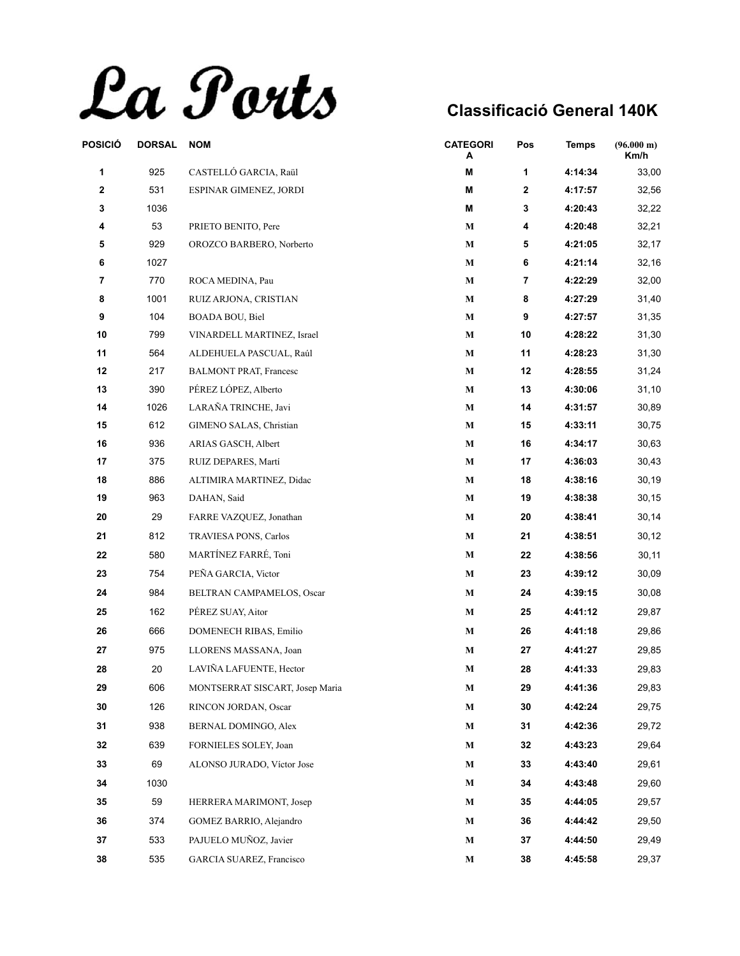La Ports

| POSICIÓ     | <b>DORSAL</b> | <b>NOM</b>                      | <b>CATEGORI</b><br>А | Pos          | <b>Temps</b> | (96.000 m)<br>Km/h |
|-------------|---------------|---------------------------------|----------------------|--------------|--------------|--------------------|
| 1           | 925           | CASTELLÓ GARCIA, Raül           | Μ                    | 1            | 4:14:34      | 33,00              |
| $\mathbf 2$ | 531           | ESPINAR GIMENEZ, JORDI          | M                    | $\mathbf{2}$ | 4:17:57      | 32,56              |
| 3           | 1036          |                                 | M                    | 3            | 4:20:43      | 32,22              |
| 4           | 53            | PRIETO BENITO, Pere             | $\mathbf M$          | 4            | 4:20:48      | 32,21              |
| 5           | 929           | OROZCO BARBERO, Norberto        | $\mathbf{M}$         | 5            | 4:21:05      | 32,17              |
| 6           | 1027          |                                 | $\mathbf M$          | 6            | 4:21:14      | 32,16              |
| 7           | 770           | ROCA MEDINA, Pau                | $\mathbf M$          | 7            | 4:22:29      | 32,00              |
| 8           | 1001          | RUIZ ARJONA, CRISTIAN           | $\mathbf M$          | 8            | 4:27:29      | 31,40              |
| 9           | 104           | BOADA BOU, Biel                 | $\bf M$              | 9            | 4:27:57      | 31,35              |
| 10          | 799           | VINARDELL MARTINEZ, Israel      | $\mathbf M$          | 10           | 4:28:22      | 31,30              |
| 11          | 564           | ALDEHUELA PASCUAL, Raúl         | $\mathbf M$          | 11           | 4:28:23      | 31,30              |
| 12          | 217           | <b>BALMONT PRAT, Francesc</b>   | $\mathbf M$          | 12           | 4:28:55      | 31,24              |
| 13          | 390           | PÉREZ LÓPEZ, Alberto            | $\mathbf M$          | 13           | 4:30:06      | 31,10              |
| 14          | 1026          | LARAÑA TRINCHE, Javi            | $\mathbf M$          | 14           | 4:31:57      | 30,89              |
| 15          | 612           | <b>GIMENO SALAS, Christian</b>  | M                    | 15           | 4:33:11      | 30,75              |
| 16          | 936           | ARIAS GASCH, Albert             | $\mathbf M$          | 16           | 4:34:17      | 30,63              |
| 17          | 375           | RUIZ DEPARES, Martí             | $\mathbf M$          | 17           | 4:36:03      | 30,43              |
| 18          | 886           | ALTIMIRA MARTINEZ, Didac        | М                    | 18           | 4:38:16      | 30,19              |
| 19          | 963           | DAHAN, Said                     | M                    | 19           | 4:38:38      | 30,15              |
| 20          | 29            | FARRE VAZQUEZ, Jonathan         | $\mathbf M$          | 20           | 4:38:41      | 30,14              |
| 21          | 812           | TRAVIESA PONS, Carlos           | $\mathbf M$          | 21           | 4:38:51      | 30,12              |
| 22          | 580           | MARTÍNEZ FARRÉ, Toni            | М                    | 22           | 4:38:56      | 30, 11             |
| 23          | 754           | PEÑA GARCIA, Victor             | $\mathbf M$          | 23           | 4:39:12      | 30,09              |
| 24          | 984           | BELTRAN CAMPAMELOS, Oscar       | M                    | 24           | 4:39:15      | 30,08              |
| 25          | 162           | PÉREZ SUAY, Aitor               | М                    | 25           | 4:41:12      | 29,87              |
| 26          | 666           | DOMENECH RIBAS, Emilio          | $\mathbf M$          | 26           | 4:41:18      | 29,86              |
| 27          | 975           | LLORENS MASSANA, Joan           | $\mathbf M$          | 27           | 4:41:27      | 29,85              |
| 28          | 20            | LAVIÑA LAFUENTE, Hector         | M                    | 28           | 4:41:33      | 29,83              |
| 29          | 606           | MONTSERRAT SISCART, Josep Maria | M                    | 29           | 4:41:36      | 29,83              |
| 30          | 126           | RINCON JORDAN, Oscar            | М                    | 30           | 4:42:24      | 29,75              |
| 31          | 938           | BERNAL DOMINGO, Alex            | М                    | 31           | 4:42:36      | 29,72              |
| 32          | 639           | FORNIELES SOLEY, Joan           | M                    | 32           | 4:43:23      | 29,64              |
| 33          | 69            | ALONSO JURADO, Víctor Jose      | М                    | 33           | 4:43:40      | 29,61              |
| 34          | 1030          |                                 | $\mathbf M$          | 34           | 4:43:48      | 29,60              |
| 35          | 59            | HERRERA MARIMONT, Josep         | М                    | 35           | 4:44:05      | 29,57              |
| 36          | 374           | GOMEZ BARRIO, Alejandro         | М                    | 36           | 4:44:42      | 29,50              |
| 37          | 533           | PAJUELO MUÑOZ, Javier           |                      | 37           | 4:44:50      |                    |
|             |               |                                 | М                    |              |              | 29,49              |
| 38          | 535           | GARCIA SUAREZ, Francisco        | M                    | 38           | 4:45:58      | 29,37              |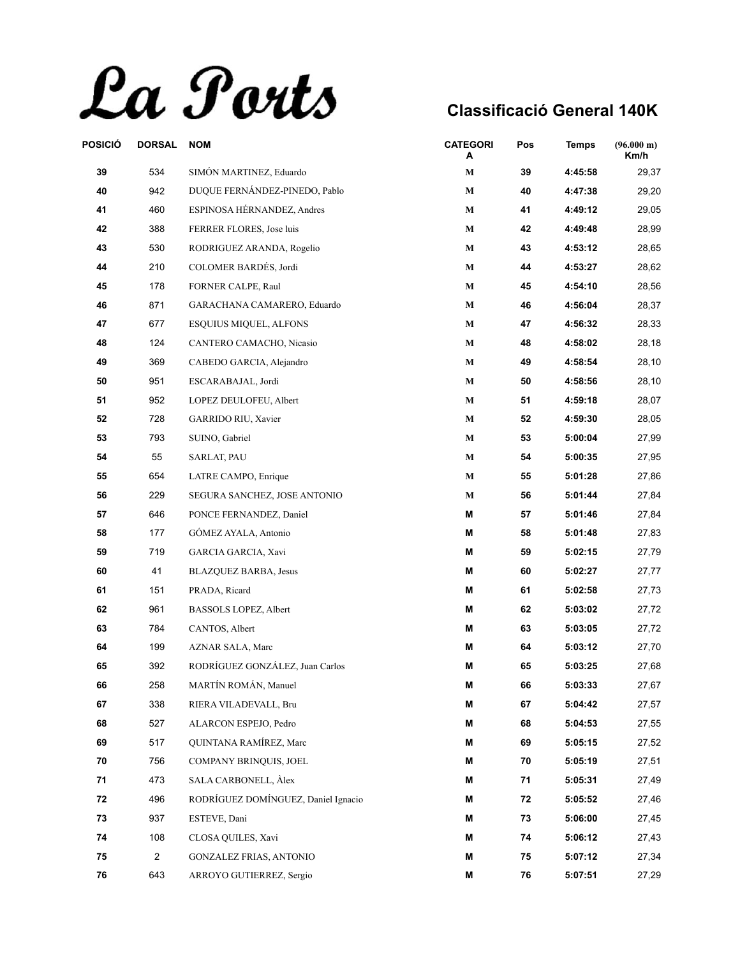La Ports

| POSICIÓ | <b>DORSAL</b>  | <b>NOM</b>                          | <b>CATEGORI</b><br>A | Pos | <b>Temps</b> | (96.000 m)<br>Km/h |
|---------|----------------|-------------------------------------|----------------------|-----|--------------|--------------------|
| 39      | 534            | SIMÓN MARTINEZ, Eduardo             | $\mathbf M$          | 39  | 4:45:58      | 29,37              |
| 40      | 942            | DUQUE FERNÁNDEZ-PINEDO, Pablo       | $\mathbf M$          | 40  | 4:47:38      | 29,20              |
| 41      | 460            | ESPINOSA HÉRNANDEZ, Andres          | $\mathbf M$          | 41  | 4:49:12      | 29,05              |
| 42      | 388            | FERRER FLORES, Jose luis            | $\mathbf M$          | 42  | 4:49:48      | 28,99              |
| 43      | 530            | RODRIGUEZ ARANDA, Rogelio           | М                    | 43  | 4:53:12      | 28,65              |
| 44      | 210            | COLOMER BARDÉS, Jordi               | $\mathbf M$          | 44  | 4:53:27      | 28,62              |
| 45      | 178            | FORNER CALPE, Raul                  | $\mathbf M$          | 45  | 4:54:10      | 28,56              |
| 46      | 871            | GARACHANA CAMARERO, Eduardo         | $\mathbf M$          | 46  | 4:56:04      | 28,37              |
| 47      | 677            | <b>ESQUIUS MIQUEL, ALFONS</b>       | $\mathbf M$          | 47  | 4:56:32      | 28,33              |
| 48      | 124            | CANTERO CAMACHO, Nicasio            | $\bf M$              | 48  | 4:58:02      | 28,18              |
| 49      | 369            | CABEDO GARCIA, Alejandro            | М                    | 49  | 4:58:54      | 28,10              |
| 50      | 951            | ESCARABAJAL, Jordi                  | $\mathbf M$          | 50  | 4:58:56      | 28,10              |
| 51      | 952            | LOPEZ DEULOFEU, Albert              | $\mathbf M$          | 51  | 4:59:18      | 28,07              |
| 52      | 728            | <b>GARRIDO RIU, Xavier</b>          | $\mathbf M$          | 52  | 4:59:30      | 28,05              |
| 53      | 793            | SUINO, Gabriel                      | М                    | 53  | 5:00:04      | 27,99              |
| 54      | 55             | SARLAT, PAU                         | $\mathbf M$          | 54  | 5:00:35      | 27,95              |
| 55      | 654            | LATRE CAMPO, Enrique                | М                    | 55  | 5:01:28      | 27,86              |
| 56      | 229            | SEGURA SANCHEZ, JOSE ANTONIO        | М                    | 56  | 5:01:44      | 27,84              |
| 57      | 646            | PONCE FERNANDEZ, Daniel             | M                    | 57  | 5:01:46      | 27,84              |
| 58      | 177            | GÓMEZ AYALA, Antonio                | M                    | 58  | 5:01:48      | 27,83              |
| 59      | 719            | GARCIA GARCIA, Xavi                 | M                    | 59  | 5:02:15      | 27,79              |
| 60      | 41             | BLAZQUEZ BARBA, Jesus               | M                    | 60  | 5:02:27      | 27,77              |
| 61      | 151            | PRADA, Ricard                       | M                    | 61  | 5:02:58      | 27,73              |
| 62      | 961            | BASSOLS LOPEZ, Albert               | M                    | 62  | 5:03:02      | 27,72              |
| 63      | 784            | CANTOS, Albert                      | M                    | 63  | 5:03:05      | 27,72              |
| 64      | 199            | AZNAR SALA, Marc                    | M                    | 64  | 5:03:12      | 27,70              |
| 65      | 392            | RODRÍGUEZ GONZÁLEZ, Juan Carlos     | M                    | 65  | 5:03:25      | 27,68              |
| 66      | 258            | MARTÍN ROMÁN, Manuel                | М                    | 66  | 5:03:33      | 27,67              |
| 67      | 338            | RIERA VILADEVALL, Bru               | M                    | 67  | 5:04:42      | 27,57              |
| 68      | 527            | ALARCON ESPEJO, Pedro               | М                    | 68  | 5:04:53      | 27,55              |
| 69      | 517            | QUINTANA RAMÍREZ, Marc              | М                    | 69  | 5:05:15      | 27,52              |
| 70      | 756            | COMPANY BRINQUIS, JOEL              | M                    | 70  | 5:05:19      | 27,51              |
| 71      | 473            | SALA CARBONELL, Alex                | Μ                    | 71  | 5:05:31      | 27,49              |
| 72      | 496            | RODRÍGUEZ DOMÍNGUEZ, Daniel Ignacio | М                    | 72  | 5:05:52      | 27,46              |
| 73      | 937            | ESTEVE, Dani                        | М                    | 73  | 5:06:00      | 27,45              |
| 74      | 108            | CLOSA QUILES, Xavi                  | M                    | 74  | 5:06:12      | 27,43              |
| 75      | $\overline{c}$ | <b>GONZALEZ FRIAS, ANTONIO</b>      | M                    | 75  | 5:07:12      | 27,34              |
| 76      | 643            | ARROYO GUTIERREZ, Sergio            | Μ                    | 76  | 5:07:51      | 27,29              |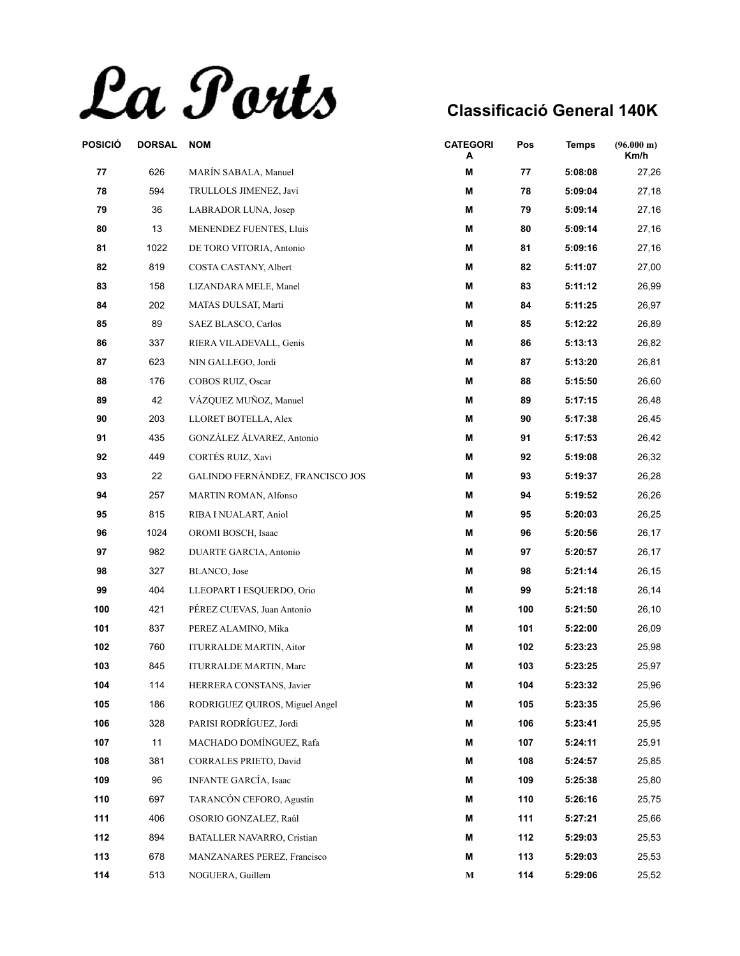La Ports

| POSICIÓ | <b>DORSAL</b> | <b>NOM</b>                       | <b>CATEGORI</b><br>A | Pos | <b>Temps</b> | (96.000 m)<br>Km/h |
|---------|---------------|----------------------------------|----------------------|-----|--------------|--------------------|
| 77      | 626           | MARÍN SABALA, Manuel             | M                    | 77  | 5:08:08      | 27,26              |
| 78      | 594           | TRULLOLS JIMENEZ, Javi           | M                    | 78  | 5:09:04      | 27,18              |
| 79      | 36            | LABRADOR LUNA, Josep             | M                    | 79  | 5:09:14      | 27,16              |
| 80      | 13            | MENENDEZ FUENTES, Lluis          | Μ                    | 80  | 5:09:14      | 27,16              |
| 81      | 1022          | DE TORO VITORIA, Antonio         | M                    | 81  | 5:09:16      | 27,16              |
| 82      | 819           | COSTA CASTANY, Albert            | M                    | 82  | 5:11:07      | 27,00              |
| 83      | 158           | LIZANDARA MELE, Manel            | M                    | 83  | 5:11:12      | 26,99              |
| 84      | 202           | MATAS DULSAT, Marti              | M                    | 84  | 5:11:25      | 26,97              |
| 85      | 89            | SAEZ BLASCO, Carlos              | M                    | 85  | 5:12:22      | 26,89              |
| 86      | 337           | RIERA VILADEVALL, Genis          | M                    | 86  | 5:13:13      | 26,82              |
| 87      | 623           | NIN GALLEGO, Jordi               | M                    | 87  | 5:13:20      | 26,81              |
| 88      | 176           | COBOS RUIZ, Oscar                | M                    | 88  | 5:15:50      | 26,60              |
| 89      | 42            | VÁZQUEZ MUÑOZ, Manuel            | M                    | 89  | 5:17:15      | 26,48              |
| 90      | 203           | LLORET BOTELLA, Alex             | M                    | 90  | 5:17:38      | 26,45              |
| 91      | 435           | GONZÁLEZ ÁLVAREZ, Antonio        | M                    | 91  | 5:17:53      | 26,42              |
| 92      | 449           | CORTÉS RUIZ, Xavi                | M                    | 92  | 5:19:08      | 26,32              |
| 93      | 22            | GALINDO FERNÁNDEZ, FRANCISCO JOS | M                    | 93  | 5:19:37      | 26,28              |
| 94      | 257           | <b>MARTIN ROMAN, Alfonso</b>     | M                    | 94  | 5:19:52      | 26,26              |
| 95      | 815           | RIBA I NUALART, Aniol            | M                    | 95  | 5:20:03      | 26,25              |
| 96      | 1024          | OROMI BOSCH, Isaac               | M                    | 96  | 5:20:56      | 26,17              |
| 97      | 982           | DUARTE GARCIA, Antonio           | M                    | 97  | 5:20:57      | 26,17              |
| 98      | 327           | BLANCO, Jose                     | M                    | 98  | 5:21:14      | 26,15              |
| 99      | 404           | LLEOPART I ESQUERDO, Orio        | M                    | 99  | 5:21:18      | 26,14              |
| 100     | 421           | PÉREZ CUEVAS, Juan Antonio       | M                    | 100 | 5:21:50      | 26,10              |
| 101     | 837           | PEREZ ALAMINO, Mika              | M                    | 101 | 5:22:00      | 26,09              |
| 102     | 760           | <b>ITURRALDE MARTIN, Aitor</b>   | M                    | 102 | 5:23:23      | 25,98              |
| 103     | 845           | <b>ITURRALDE MARTIN, Marc</b>    | M                    | 103 | 5:23:25      | 25,97              |
| 104     | 114           | HERRERA CONSTANS, Javier         | M                    | 104 | 5:23:32      | 25,96              |
| 105     | 186           | RODRIGUEZ QUIROS, Miguel Angel   | M                    | 105 | 5:23:35      | 25,96              |
| 106     | 328           | PARISI RODRÍGUEZ, Jordi          | M                    | 106 | 5:23:41      | 25,95              |
| 107     | 11            | MACHADO DOMÍNGUEZ, Rafa          | M                    | 107 | 5:24:11      | 25,91              |
| 108     | 381           | CORRALES PRIETO, David           | M                    | 108 | 5:24:57      | 25,85              |
| 109     | 96            | <b>INFANTE GARCÍA, Isaac</b>     | M                    | 109 | 5:25:38      | 25,80              |
| 110     | 697           | TARANCÓN CEFORO, Agustín         | M                    | 110 | 5:26:16      | 25,75              |
| 111     | 406           | OSORIO GONZALEZ, Raúl            | M                    | 111 | 5:27:21      | 25,66              |
| 112     | 894           | BATALLER NAVARRO, Cristian       | M                    | 112 | 5:29:03      | 25,53              |
| 113     | 678           | MANZANARES PEREZ, Francisco      | M                    | 113 | 5:29:03      | 25,53              |
| 114     | 513           | NOGUERA, Guillem                 | М                    | 114 | 5:29:06      | 25,52              |
|         |               |                                  |                      |     |              |                    |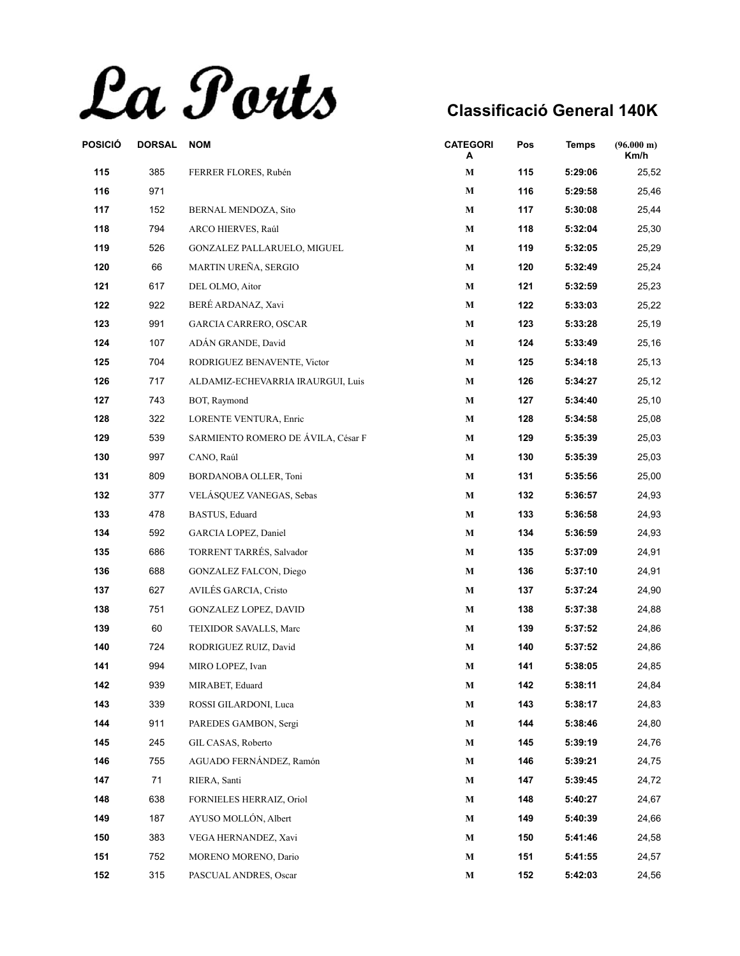La Ports

| POSICIÓ | <b>DORSAL</b> | <b>NOM</b>                         | <b>CATEGORI</b><br>A | Pos | <b>Temps</b> | (96.000 m)<br>Km/h |
|---------|---------------|------------------------------------|----------------------|-----|--------------|--------------------|
| 115     | 385           | FERRER FLORES, Rubén               | М                    | 115 | 5:29:06      | 25,52              |
| 116     | 971           |                                    | $\mathbf M$          | 116 | 5:29:58      | 25,46              |
| 117     | 152           | BERNAL MENDOZA, Sito               | $\mathbf M$          | 117 | 5:30:08      | 25,44              |
| 118     | 794           | ARCO HIERVES, Raúl                 | М                    | 118 | 5:32:04      | 25,30              |
| 119     | 526           | GONZALEZ PALLARUELO, MIGUEL        | $\mathbf M$          | 119 | 5:32:05      | 25,29              |
| 120     | 66            | MARTIN UREÑA, SERGIO               | $\mathbf M$          | 120 | 5:32:49      | 25,24              |
| 121     | 617           | DEL OLMO, Aitor                    | М                    | 121 | 5:32:59      | 25,23              |
| 122     | 922           | BERÉ ARDANAZ, Xavi                 | $\bf M$              | 122 | 5:33:03      | 25,22              |
| 123     | 991           | <b>GARCIA CARRERO, OSCAR</b>       | $\mathbf M$          | 123 | 5:33:28      | 25,19              |
| 124     | 107           | ADÁN GRANDE, David                 | М                    | 124 | 5:33:49      | 25,16              |
| 125     | 704           | RODRIGUEZ BENAVENTE, Victor        | $\mathbf M$          | 125 | 5:34:18      | 25,13              |
| 126     | 717           | ALDAMIZ-ECHEVARRIA IRAURGUI, Luis  | $\mathbf M$          | 126 | 5:34:27      | 25,12              |
| 127     | 743           | BOT, Raymond                       | М                    | 127 | 5:34:40      | 25,10              |
| 128     | 322           | LORENTE VENTURA, Enric             | М                    | 128 | 5:34:58      | 25,08              |
| 129     | 539           | SARMIENTO ROMERO DE ÁVILA, César F | $\mathbf M$          | 129 | 5:35:39      | 25,03              |
| 130     | 997           | CANO, Raúl                         | $\mathbf M$          | 130 | 5:35:39      | 25,03              |
| 131     | 809           | BORDANOBA OLLER, Toni              | $\mathbf M$          | 131 | 5:35:56      | 25,00              |
| 132     | 377           | VELÁSQUEZ VANEGAS, Sebas           | $\mathbf M$          | 132 | 5:36:57      | 24,93              |
| 133     | 478           | BASTUS, Eduard                     | $\mathbf{M}$         | 133 | 5:36:58      | 24,93              |
| 134     | 592           | GARCIA LOPEZ, Daniel               | М                    | 134 | 5:36:59      | 24,93              |
| 135     | 686           | TORRENT TARRÉS, Salvador           | $\mathbf M$          | 135 | 5:37:09      | 24,91              |
| 136     | 688           | GONZALEZ FALCON, Diego             | $\mathbf M$          | 136 | 5:37:10      | 24,91              |
| 137     | 627           | AVILÉS GARCIA, Cristo              | $\mathbf M$          | 137 | 5:37:24      | 24,90              |
| 138     | 751           | <b>GONZALEZ LOPEZ, DAVID</b>       | М                    | 138 | 5:37:38      | 24,88              |
| 139     | 60            | TEIXIDOR SAVALLS, Marc             | $\mathbf M$          | 139 | 5:37:52      | 24,86              |
| 140     | 724           | RODRIGUEZ RUIZ, David              | М                    | 140 | 5:37:52      | 24,86              |
| 141     | 994           | MIRO LOPEZ, Ivan                   | М                    | 141 | 5:38:05      | 24,85              |
| 142     | 939           | MIRABET, Eduard                    | M                    | 142 | 5:38:11      | 24,84              |
| 143     | 339           | ROSSI GILARDONI, Luca              | $\mathbf M$          | 143 | 5:38:17      | 24,83              |
| 144     | 911           | PAREDES GAMBON, Sergi              | М                    | 144 | 5:38:46      | 24,80              |
| 145     | 245           | GIL CASAS, Roberto                 | М                    | 145 | 5:39:19      | 24,76              |
| 146     | 755           | AGUADO FERNÁNDEZ, Ramón            | M                    | 146 | 5:39:21      | 24,75              |
| 147     | 71            | RIERA, Santi                       | M                    | 147 | 5:39:45      | 24,72              |
| 148     | 638           | FORNIELES HERRAIZ, Oriol           | $\mathbf M$          | 148 | 5:40:27      | 24,67              |
| 149     | 187           | AYUSO MOLLÓN, Albert               | М                    | 149 | 5:40:39      | 24,66              |
| 150     | 383           | VEGA HERNANDEZ, Xavi               | M                    | 150 | 5:41:46      | 24,58              |
| 151     | 752           | MORENO MORENO, Dario               | M                    | 151 | 5:41:55      | 24,57              |
| 152     | 315           | PASCUAL ANDRES, Oscar              | M                    | 152 | 5:42:03      | 24,56              |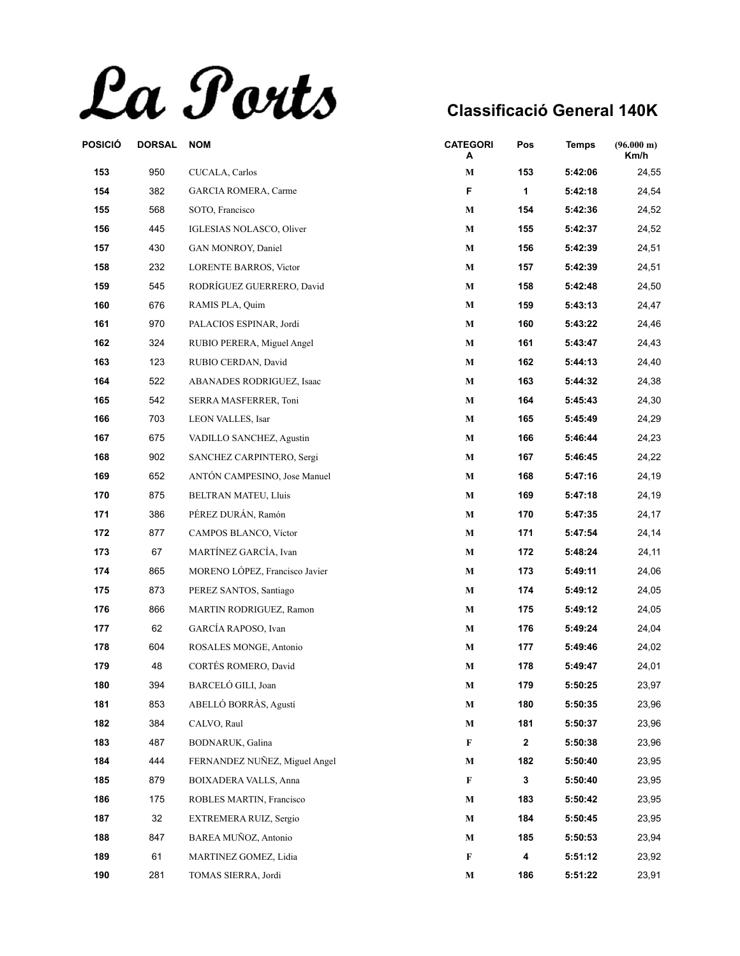La Ports

| POSICIÓ | <b>DORSAL</b> | <b>NOM</b>                      | <b>CATEGORI</b><br>A | Pos | <b>Temps</b> | (96.000 m)<br>Km/h |
|---------|---------------|---------------------------------|----------------------|-----|--------------|--------------------|
| 153     | 950           | CUCALA, Carlos                  | $\mathbf M$          | 153 | 5:42:06      | 24,55              |
| 154     | 382           | <b>GARCIA ROMERA, Carme</b>     | F                    | 1   | 5:42:18      | 24,54              |
| 155     | 568           | SOTO, Francisco                 | $\mathbf M$          | 154 | 5:42:36      | 24,52              |
| 156     | 445           | <b>IGLESIAS NOLASCO, Oliver</b> | $\mathbf{M}$         | 155 | 5:42:37      | 24,52              |
| 157     | 430           | GAN MONROY, Daniel              | М                    | 156 | 5:42:39      | 24,51              |
| 158     | 232           | <b>LORENTE BARROS, Victor</b>   | $\mathbf M$          | 157 | 5:42:39      | 24,51              |
| 159     | 545           | RODRÍGUEZ GUERRERO, David       | $\mathbf M$          | 158 | 5:42:48      | 24,50              |
| 160     | 676           | RAMIS PLA, Quim                 | М                    | 159 | 5:43:13      | 24,47              |
| 161     | 970           | PALACIOS ESPINAR, Jordi         | M                    | 160 | 5:43:22      | 24,46              |
| 162     | 324           | RUBIO PERERA, Miguel Angel      | М                    | 161 | 5:43:47      | 24,43              |
| 163     | 123           | RUBIO CERDAN, David             | М                    | 162 | 5:44:13      | 24,40              |
| 164     | 522           | ABANADES RODRIGUEZ, Isaac       | $\mathbf M$          | 163 | 5:44:32      | 24,38              |
| 165     | 542           | SERRA MASFERRER, Toni           | $\mathbf M$          | 164 | 5:45:43      | 24,30              |
| 166     | 703           | LEON VALLES, Isar               | $\mathbf M$          | 165 | 5:45:49      | 24,29              |
| 167     | 675           | VADILLO SANCHEZ, Agustin        | М                    | 166 | 5:46:44      | 24,23              |
| 168     | 902           | SANCHEZ CARPINTERO, Sergi       | $\mathbf M$          | 167 | 5:46:45      | 24,22              |
| 169     | 652           | ANTÓN CAMPESINO, Jose Manuel    | $\mathbf{M}$         | 168 | 5:47:16      | 24,19              |
| 170     | 875           | BELTRAN MATEU, Lluis            | $\mathbf M$          | 169 | 5:47:18      | 24,19              |
| 171     | 386           | PÉREZ DURÁN, Ramón              | $\mathbf M$          | 170 | 5:47:35      | 24,17              |
| 172     | 877           | CAMPOS BLANCO, Víctor           | $\mathbf M$          | 171 | 5:47:54      | 24,14              |
| 173     | 67            | MARTÍNEZ GARCÍA, Ivan           | М                    | 172 | 5:48:24      | 24,11              |
| 174     | 865           | MORENO LÓPEZ, Francisco Javier  | $\mathbf M$          | 173 | 5:49:11      | 24,06              |
| 175     | 873           | PEREZ SANTOS, Santiago          | $\mathbf M$          | 174 | 5:49:12      | 24,05              |
| 176     | 866           | MARTIN RODRIGUEZ, Ramon         | М                    | 175 | 5:49:12      | 24,05              |
| 177     | 62            | GARCÍA RAPOSO, Ivan             | М                    | 176 | 5:49:24      | 24,04              |
| 178     | 604           | ROSALES MONGE, Antonio          | $\mathbf M$          | 177 | 5:49:46      | 24,02              |
| 179     | 48            | CORTÉS ROMERO, David            | М                    | 178 | 5:49:47      | 24,01              |
| 180     | 394           | BARCELÓ GILI, Joan              | M                    | 179 | 5:50:25      | 23,97              |
| 181     | 853           | ABELLÓ BORRÀS, Agustí           | M                    | 180 | 5:50:35      | 23,96              |
| 182     | 384           | CALVO, Raul                     | $\mathbf M$          | 181 | 5:50:37      | 23,96              |
| 183     | 487           | BODNARUK, Galina                | F                    | 2   | 5:50:38      | 23,96              |
| 184     | 444           | FERNANDEZ NUÑEZ, Miguel Angel   | $\mathbf M$          | 182 | 5:50:40      | 23,95              |
| 185     | 879           | <b>BOIXADERA VALLS, Anna</b>    | F                    | 3   | 5:50:40      | 23,95              |
| 186     | 175           | ROBLES MARTIN, Francisco        | $\mathbf M$          | 183 | 5:50:42      | 23,95              |
| 187     | 32            | EXTREMERA RUIZ, Sergio          | М                    | 184 | 5:50:45      | 23,95              |
| 188     | 847           | BAREA MUÑOZ, Antonio            | $\mathbf M$          | 185 | 5:50:53      | 23,94              |
| 189     | 61            | MARTINEZ GOMEZ, Lidia           | $\mathbf F$          | 4   | 5:51:12      | 23,92              |
| 190     | 281           | TOMAS SIERRA, Jordi             | $\mathbf M$          | 186 | 5:51:22      | 23,91              |
|         |               |                                 |                      |     |              |                    |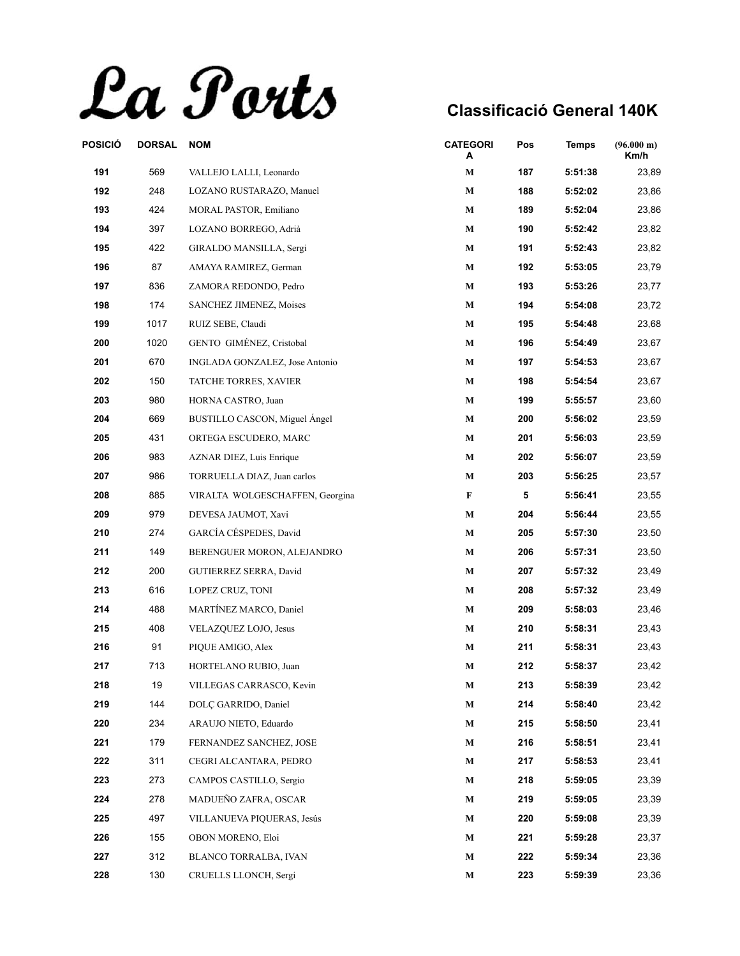La Ports

| POSICIÓ | <b>DORSAL</b> | <b>NOM</b>                      | <b>CATEGORI</b><br>Α | Pos | <b>Temps</b> | (96.000 m)<br>Km/h |
|---------|---------------|---------------------------------|----------------------|-----|--------------|--------------------|
| 191     | 569           | VALLEJO LALLI, Leonardo         | M                    | 187 | 5:51:38      | 23,89              |
| 192     | 248           | LOZANO RUSTARAZO, Manuel        | $\mathbf M$          | 188 | 5:52:02      | 23,86              |
| 193     | 424           | MORAL PASTOR, Emiliano          | $\mathbf M$          | 189 | 5:52:04      | 23,86              |
| 194     | 397           | LOZANO BORREGO, Adrià           | $\mathbf{M}$         | 190 | 5:52:42      | 23,82              |
| 195     | 422           | GIRALDO MANSILLA, Sergi         | М                    | 191 | 5:52:43      | 23,82              |
| 196     | 87            | AMAYA RAMIREZ, German           | $\mathbf M$          | 192 | 5:53:05      | 23,79              |
| 197     | 836           | ZAMORA REDONDO, Pedro           | $\mathbf M$          | 193 | 5:53:26      | 23,77              |
| 198     | 174           | SANCHEZ JIMENEZ, Moises         | М                    | 194 | 5:54:08      | 23,72              |
| 199     | 1017          | RUIZ SEBE, Claudi               | M                    | 195 | 5:54:48      | 23,68              |
| 200     | 1020          | GENTO GIMÉNEZ, Cristobal        | М                    | 196 | 5:54:49      | 23,67              |
| 201     | 670           | INGLADA GONZALEZ, Jose Antonio  | М                    | 197 | 5:54:53      | 23,67              |
| 202     | 150           | TATCHE TORRES, XAVIER           | $\mathbf M$          | 198 | 5:54:54      | 23,67              |
| 203     | 980           | HORNA CASTRO, Juan              | $\mathbf M$          | 199 | 5:55:57      | 23,60              |
| 204     | 669           | BUSTILLO CASCON, Miguel Ángel   | $\mathbf M$          | 200 | 5:56:02      | 23,59              |
| 205     | 431           | ORTEGA ESCUDERO, MARC           | М                    | 201 | 5:56:03      | 23,59              |
| 206     | 983           | AZNAR DIEZ, Luis Enrique        | $\mathbf M$          | 202 | 5:56:07      | 23,59              |
| 207     | 986           | TORRUELLA DIAZ, Juan carlos     | M                    | 203 | 5:56:25      | 23,57              |
| 208     | 885           | VIRALTA WOLGESCHAFFEN, Georgina | F                    | 5   | 5:56:41      | 23,55              |
| 209     | 979           | DEVESA JAUMOT, Xavi             | $\mathbf M$          | 204 | 5:56:44      | 23,55              |
| 210     | 274           | GARCÍA CÉSPEDES, David          | $\mathbf M$          | 205 | 5:57:30      | 23,50              |
| 211     | 149           | BERENGUER MORON, ALEJANDRO      | М                    | 206 | 5:57:31      | 23,50              |
| 212     | 200           | GUTIERREZ SERRA, David          | М                    | 207 | 5:57:32      | 23,49              |
| 213     | 616           | LOPEZ CRUZ, TONI                | $\mathbf M$          | 208 | 5:57:32      | 23,49              |
| 214     | 488           | MARTÍNEZ MARCO, Daniel          | М                    | 209 | 5:58:03      | 23,46              |
| 215     | 408           | VELAZQUEZ LOJO, Jesus           | М                    | 210 | 5:58:31      | 23,43              |
| 216     | 91            | PIQUE AMIGO, Alex               | M                    | 211 | 5:58:31      | 23,43              |
| 217     | 713           | HORTELANO RUBIO, Juan           | М                    | 212 | 5:58:37      | 23,42              |
| 218     | 19            | VILLEGAS CARRASCO, Kevin        | M                    | 213 | 5:58:39      | 23,42              |
| 219     | 144           | DOLÇ GARRIDO, Daniel            | M                    | 214 | 5:58:40      | 23,42              |
| 220     | 234           | ARAUJO NIETO, Eduardo           | $\mathbf M$          | 215 | 5:58:50      | 23,41              |
| 221     | 179           | FERNANDEZ SANCHEZ, JOSE         | М                    | 216 | 5:58:51      | 23,41              |
| 222     | 311           | CEGRI ALCANTARA, PEDRO          | М                    | 217 | 5:58:53      | 23,41              |
| 223     | 273           | CAMPOS CASTILLO, Sergio         | M                    | 218 | 5:59:05      | 23,39              |
| 224     | 278           | MADUEÑO ZAFRA, OSCAR            | M                    | 219 | 5:59:05      | 23,39              |
| 225     | 497           | VILLANUEVA PIQUERAS, Jesús      | М                    | 220 | 5:59:08      | 23,39              |
| 226     | 155           | OBON MORENO, Eloi               | М                    | 221 | 5:59:28      | 23,37              |
| 227     | 312           | BLANCO TORRALBA, IVAN           | M                    | 222 | 5:59:34      | 23,36              |
| 228     | 130           | CRUELLS LLONCH, Sergi           | M                    | 223 | 5:59:39      | 23,36              |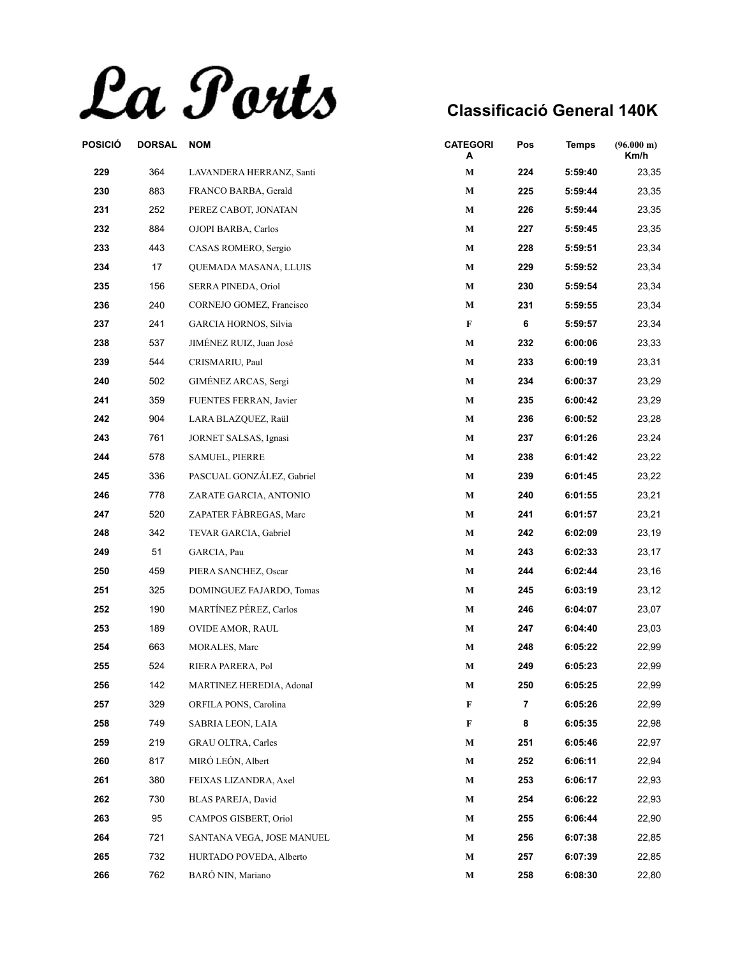La Ports

| POSICIÓ | <b>DORSAL</b> | <b>NOM</b>                   | <b>CATEGORI</b><br>А | Pos | <b>Temps</b> | (96.000 m)<br>Km/h |
|---------|---------------|------------------------------|----------------------|-----|--------------|--------------------|
| 229     | 364           | LAVANDERA HERRANZ, Santi     | М                    | 224 | 5:59:40      | 23,35              |
| 230     | 883           | FRANCO BARBA, Gerald         | $\mathbf M$          | 225 | 5:59:44      | 23,35              |
| 231     | 252           | PEREZ CABOT, JONATAN         | $\mathbf M$          | 226 | 5:59:44      | 23,35              |
| 232     | 884           | OJOPI BARBA, Carlos          | М                    | 227 | 5:59:45      | 23,35              |
| 233     | 443           | CASAS ROMERO, Sergio         | М                    | 228 | 5:59:51      | 23,34              |
| 234     | 17            | <b>OUEMADA MASANA, LLUIS</b> | М                    | 229 | 5:59:52      | 23,34              |
| 235     | 156           | SERRA PINEDA, Oriol          | М                    | 230 | 5:59:54      | 23,34              |
| 236     | 240           | CORNEJO GOMEZ, Francisco     | М                    | 231 | 5:59:55      | 23,34              |
| 237     | 241           | GARCIA HORNOS, Silvia        | F                    | 6   | 5:59:57      | 23,34              |
| 238     | 537           | JIMÉNEZ RUIZ, Juan José      | $\mathbf M$          | 232 | 6:00:06      | 23,33              |
| 239     | 544           | CRISMARIU, Paul              | М                    | 233 | 6:00:19      | 23,31              |
| 240     | 502           | GIMÉNEZ ARCAS, Sergi         | М                    | 234 | 6:00:37      | 23,29              |
| 241     | 359           | FUENTES FERRAN, Javier       | М                    | 235 | 6:00:42      | 23,29              |
| 242     | 904           | LARA BLAZQUEZ, Raül          | М                    | 236 | 6:00:52      | 23,28              |
| 243     | 761           | JORNET SALSAS, Ignasi        | М                    | 237 | 6:01:26      | 23,24              |
| 244     | 578           | <b>SAMUEL, PIERRE</b>        | $\mathbf M$          | 238 | 6:01:42      | 23,22              |
| 245     | 336           | PASCUAL GONZÁLEZ, Gabriel    | М                    | 239 | 6:01:45      | 23,22              |
| 246     | 778           | ZARATE GARCIA, ANTONIO       | М                    | 240 | 6:01:55      | 23,21              |
| 247     | 520           | ZAPATER FÀBREGAS, Marc       | М                    | 241 | 6:01:57      | 23,21              |
| 248     | 342           | TEVAR GARCIA, Gabriel        | $\mathbf M$          | 242 | 6:02:09      | 23,19              |
| 249     | 51            | GARCIA, Pau                  | М                    | 243 | 6:02:33      | 23,17              |
| 250     | 459           | PIERA SANCHEZ, Oscar         | $\mathbf M$          | 244 | 6:02:44      | 23,16              |
| 251     | 325           | DOMINGUEZ FAJARDO, Tomas     | М                    | 245 | 6:03:19      | 23,12              |
| 252     | 190           | MARTÍNEZ PÉREZ, Carlos       | М                    | 246 | 6:04:07      | 23,07              |
| 253     | 189           | <b>OVIDE AMOR, RAUL</b>      | М                    | 247 | 6:04:40      | 23,03              |
| 254     | 663           | MORALES, Marc                | $\mathbf M$          | 248 | 6:05:22      | 22,99              |
| 255     | 524           | RIERA PARERA, Pol            | M                    | 249 | 6:05:23      | 22,99              |
| 256     | 142           | MARTINEZ HEREDIA, AdonaI     | М                    | 250 | 6:05:25      | 22,99              |
| 257     | 329           | ORFILA PONS, Carolina        | $\mathbf F$          | 7   | 6:05:26      | 22,99              |
| 258     | 749           | SABRIA LEON, LAIA            | F                    | 8   | 6:05:35      | 22,98              |
| 259     | 219           | <b>GRAU OLTRA, Carles</b>    | $\mathbf M$          | 251 | 6:05:46      | 22,97              |
| 260     | 817           | MIRÓ LEÓN, Albert            | М                    | 252 | 6:06:11      | 22,94              |
| 261     | 380           | FEIXAS LIZANDRA, Axel        | $\mathbf M$          | 253 | 6:06:17      | 22,93              |
| 262     | 730           | BLAS PAREJA, David           | М                    | 254 | 6:06:22      | 22,93              |
| 263     | 95            | CAMPOS GISBERT, Oriol        | M                    | 255 | 6:06:44      | 22,90              |
| 264     | 721           | SANTANA VEGA, JOSE MANUEL    | М                    | 256 | 6:07:38      | 22,85              |
| 265     | 732           | HURTADO POVEDA, Alberto      | М                    | 257 | 6:07:39      | 22,85              |
| 266     | 762           | BARÓ NIN, Mariano            | $\mathbf M$          | 258 | 6:08:30      | 22,80              |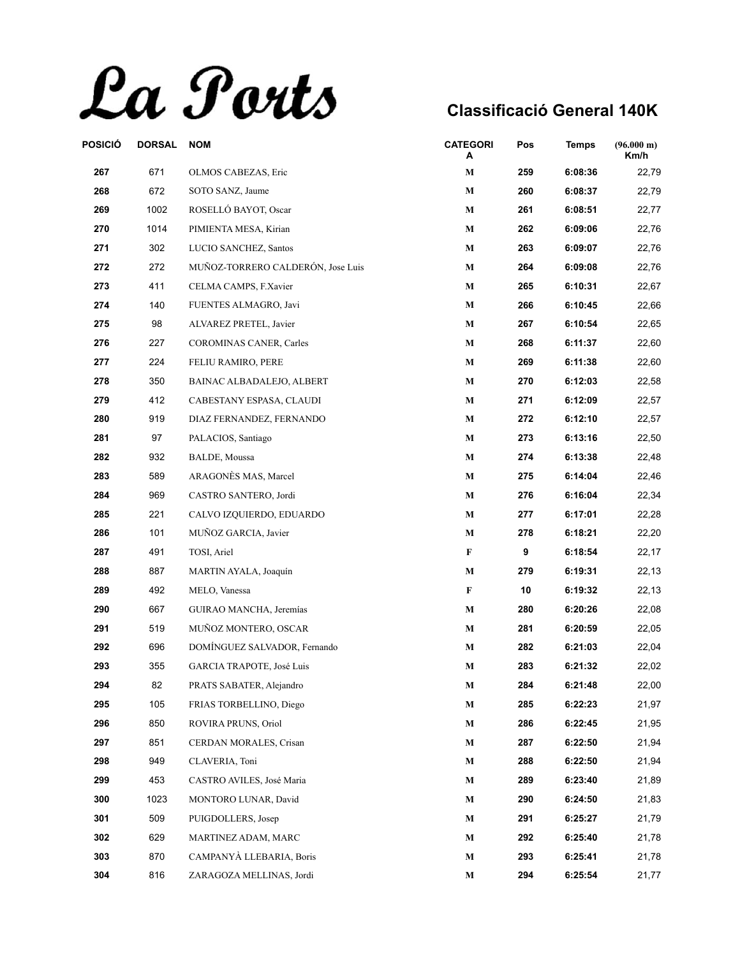La Ports

| POSICIÓ | <b>DORSAL</b> | <b>NOM</b>                        | <b>CATEGORI</b><br>A | Pos | <b>Temps</b> | $(96.000 \text{ m})$<br>Km/h |
|---------|---------------|-----------------------------------|----------------------|-----|--------------|------------------------------|
| 267     | 671           | OLMOS CABEZAS, Eric               | М                    | 259 | 6:08:36      | 22,79                        |
| 268     | 672           | SOTO SANZ, Jaume                  | М                    | 260 | 6:08:37      | 22,79                        |
| 269     | 1002          | ROSELLÓ BAYOT, Oscar              | $\mathbf M$          | 261 | 6:08:51      | 22,77                        |
| 270     | 1014          | PIMIENTA MESA, Kirian             | М                    | 262 | 6:09:06      | 22,76                        |
| 271     | 302           | LUCIO SANCHEZ, Santos             | M                    | 263 | 6:09:07      | 22,76                        |
| 272     | 272           | MUÑOZ-TORRERO CALDERÓN, Jose Luis | М                    | 264 | 6:09:08      | 22,76                        |
| 273     | 411           | CELMA CAMPS, F.Xavier             | М                    | 265 | 6:10:31      | 22,67                        |
| 274     | 140           | FUENTES ALMAGRO, Javi             | М                    | 266 | 6:10:45      | 22,66                        |
| 275     | 98            | ALVAREZ PRETEL, Javier            | $\mathbf M$          | 267 | 6:10:54      | 22,65                        |
| 276     | 227           | <b>COROMINAS CANER, Carles</b>    | М                    | 268 | 6:11:37      | 22,60                        |
| 277     | 224           | FELIU RAMIRO, PERE                | М                    | 269 | 6:11:38      | 22,60                        |
| 278     | 350           | BAINAC ALBADALEJO, ALBERT         | М                    | 270 | 6:12:03      | 22,58                        |
| 279     | 412           | CABESTANY ESPASA, CLAUDI          | $\mathbf M$          | 271 | 6:12:09      | 22,57                        |
| 280     | 919           | DIAZ FERNANDEZ, FERNANDO          | М                    | 272 | 6:12:10      | 22,57                        |
| 281     | 97            | PALACIOS, Santiago                | $\mathbf M$          | 273 | 6:13:16      | 22,50                        |
| 282     | 932           | <b>BALDE, Moussa</b>              | М                    | 274 | 6:13:38      | 22,48                        |
| 283     | 589           | ARAGONÈS MAS, Marcel              | М                    | 275 | 6:14:04      | 22,46                        |
| 284     | 969           | CASTRO SANTERO, Jordi             | M                    | 276 | 6:16:04      | 22,34                        |
| 285     | 221           | CALVO IZQUIERDO, EDUARDO          | $\mathbf M$          | 277 | 6:17:01      | 22,28                        |
| 286     | 101           | MUÑOZ GARCIA, Javier              | М                    | 278 | 6:18:21      | 22,20                        |
| 287     | 491           | TOSI, Ariel                       | F                    | 9   | 6:18:54      | 22,17                        |
| 288     | 887           | MARTIN AYALA, Joaquín             | M                    | 279 | 6:19:31      | 22,13                        |
| 289     | 492           | MELO, Vanessa                     | F                    | 10  | 6:19:32      | 22,13                        |
| 290     | 667           | GUIRAO MANCHA, Jeremías           | М                    | 280 | 6:20:26      | 22,08                        |
| 291     | 519           | MUÑOZ MONTERO, OSCAR              | $\mathbf M$          | 281 | 6:20:59      | 22,05                        |
| 292     | 696           | DOMÍNGUEZ SALVADOR, Fernando      | М                    | 282 | 6:21:03      | 22,04                        |
| 293     | 355           | GARCIA TRAPOTE, José Luis         | М                    | 283 | 6:21:32      | 22,02                        |
| 294     | 82            | PRATS SABATER, Alejandro          | M                    | 284 | 6:21:48      | 22,00                        |
| 295     | 105           | FRIAS TORBELLINO, Diego           | M                    | 285 | 6:22:23      | 21,97                        |
| 296     | 850           | ROVIRA PRUNS, Oriol               | М                    | 286 | 6:22:45      | 21,95                        |
| 297     | 851           | CERDAN MORALES, Crisan            | М                    | 287 | 6:22:50      | 21,94                        |
| 298     | 949           | CLAVERIA, Toni                    | М                    | 288 | 6:22:50      | 21,94                        |
| 299     | 453           | CASTRO AVILES, José Maria         | М                    | 289 | 6:23:40      | 21,89                        |
| 300     | 1023          | MONTORO LUNAR, David              | M                    | 290 | 6:24:50      | 21,83                        |
| 301     | 509           | PUIGDOLLERS, Josep                | М                    | 291 | 6:25:27      | 21,79                        |
| 302     | 629           | MARTINEZ ADAM, MARC               | M                    | 292 | 6:25:40      | 21,78                        |
| 303     | 870           | CAMPANYÀ LLEBARIA, Boris          | М                    | 293 | 6:25:41      | 21,78                        |
| 304     | 816           | ZARAGOZA MELLINAS, Jordi          | M                    | 294 | 6:25:54      | 21,77                        |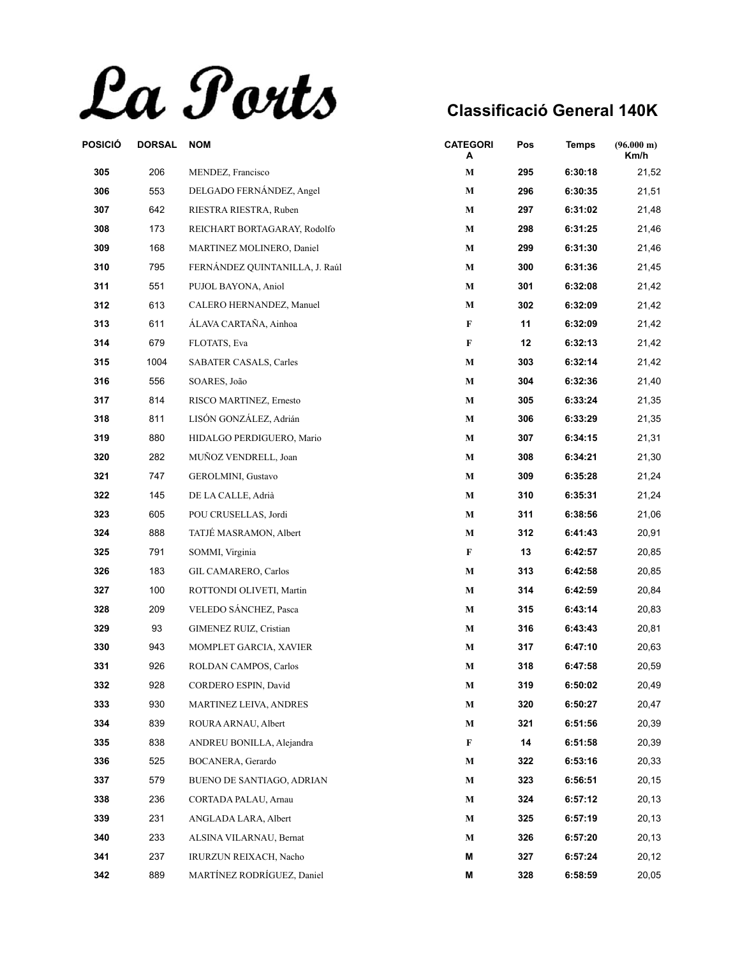La Ports

| POSICIÓ | <b>DORSAL</b> | <b>NOM</b>                     | <b>CATEGORI</b><br>A | Pos | <b>Temps</b> | (96.000 m)<br>Km/h |
|---------|---------------|--------------------------------|----------------------|-----|--------------|--------------------|
| 305     | 206           | MENDEZ, Francisco              | $\mathbf M$          | 295 | 6:30:18      | 21,52              |
| 306     | 553           | DELGADO FERNÁNDEZ, Angel       | M                    | 296 | 6:30:35      | 21,51              |
| 307     | 642           | RIESTRA RIESTRA, Ruben         | M                    | 297 | 6:31:02      | 21,48              |
| 308     | 173           | REICHART BORTAGARAY, Rodolfo   | $\mathbf{M}$         | 298 | 6:31:25      | 21,46              |
| 309     | 168           | MARTINEZ MOLINERO, Daniel      | М                    | 299 | 6:31:30      | 21,46              |
| 310     | 795           | FERNÁNDEZ QUINTANILLA, J. Raúl | $\mathbf{M}$         | 300 | 6:31:36      | 21,45              |
| 311     | 551           | PUJOL BAYONA, Aniol            | M                    | 301 | 6:32:08      | 21,42              |
| 312     | 613           | CALERO HERNANDEZ, Manuel       | M                    | 302 | 6:32:09      | 21,42              |
| 313     | 611           | ÁLAVA CARTAÑA, Ainhoa          | F                    | 11  | 6:32:09      | 21,42              |
| 314     | 679           | FLOTATS, Eva                   | F                    | 12  | 6:32:13      | 21,42              |
| 315     | 1004          | SABATER CASALS, Carles         | M                    | 303 | 6:32:14      | 21,42              |
| 316     | 556           | SOARES, João                   | M                    | 304 | 6:32:36      | 21,40              |
| 317     | 814           | RISCO MARTINEZ, Ernesto        | $\mathbf M$          | 305 | 6:33:24      | 21,35              |
| 318     | 811           | LISÓN GONZÁLEZ, Adrián         | M                    | 306 | 6:33:29      | 21,35              |
| 319     | 880           | HIDALGO PERDIGUERO, Mario      | M                    | 307 | 6:34:15      | 21,31              |
| 320     | 282           | MUÑOZ VENDRELL, Joan           | $\mathbf{M}$         | 308 | 6:34:21      | 21,30              |
| 321     | 747           | GEROLMINI, Gustavo             | $\mathbf{M}$         | 309 | 6:35:28      | 21,24              |
| 322     | 145           | DE LA CALLE, Adrià             | M                    | 310 | 6:35:31      | 21,24              |
| 323     | 605           | POU CRUSELLAS, Jordi           | $\mathbf{M}$         | 311 | 6:38:56      | 21,06              |
| 324     | 888           | TATJÉ MASRAMON, Albert         | $\mathbf{M}$         | 312 | 6:41:43      | 20,91              |
| 325     | 791           | SOMMI, Virginia                | F                    | 13  | 6:42:57      | 20,85              |
| 326     | 183           | <b>GIL CAMARERO, Carlos</b>    | $\mathbf M$          | 313 | 6:42:58      | 20,85              |
| 327     | 100           | ROTTONDI OLIVETI, Martin       | M                    | 314 | 6:42:59      | 20,84              |
| 328     | 209           | VELEDO SÁNCHEZ, Pasca          | M                    | 315 | 6:43:14      | 20,83              |
| 329     | 93            | <b>GIMENEZ RUIZ, Cristian</b>  | M                    | 316 | 6:43:43      | 20,81              |
| 330     | 943           | MOMPLET GARCIA, XAVIER         | $\mathbf M$          | 317 | 6:47:10      | 20,63              |
| 331     | 926           | ROLDAN CAMPOS, Carlos          | М                    | 318 | 6:47:58      | 20,59              |
| 332     | 928           | CORDERO ESPIN, David           | M                    | 319 | 6:50:02      | 20,49              |
| 333     | 930           | <b>MARTINEZ LEIVA, ANDRES</b>  | M                    | 320 | 6:50:27      | 20,47              |
| 334     | 839           | ROURA ARNAU, Albert            | $\mathbf{M}$         | 321 | 6:51:56      | 20,39              |
| 335     | 838           | ANDREU BONILLA, Alejandra      | F                    | 14  | 6:51:58      | 20,39              |
| 336     | 525           | BOCANERA, Gerardo              | M                    | 322 | 6:53:16      | 20,33              |
| 337     | 579           | BUENO DE SANTIAGO, ADRIAN      | M                    | 323 | 6:56:51      | 20,15              |
| 338     | 236           | CORTADA PALAU, Arnau           | M                    | 324 | 6:57:12      | 20,13              |
| 339     | 231           | ANGLADA LARA, Albert           | М                    | 325 | 6:57:19      | 20,13              |
| 340     | 233           | ALSINA VILARNAU, Bernat        | M                    | 326 | 6:57:20      | 20,13              |
| 341     | 237           | IRURZUN REIXACH, Nacho         | М                    | 327 | 6:57:24      | 20,12              |
| 342     | 889           | MARTÍNEZ RODRÍGUEZ, Daniel     | M                    | 328 | 6:58:59      | 20,05              |
|         |               |                                |                      |     |              |                    |